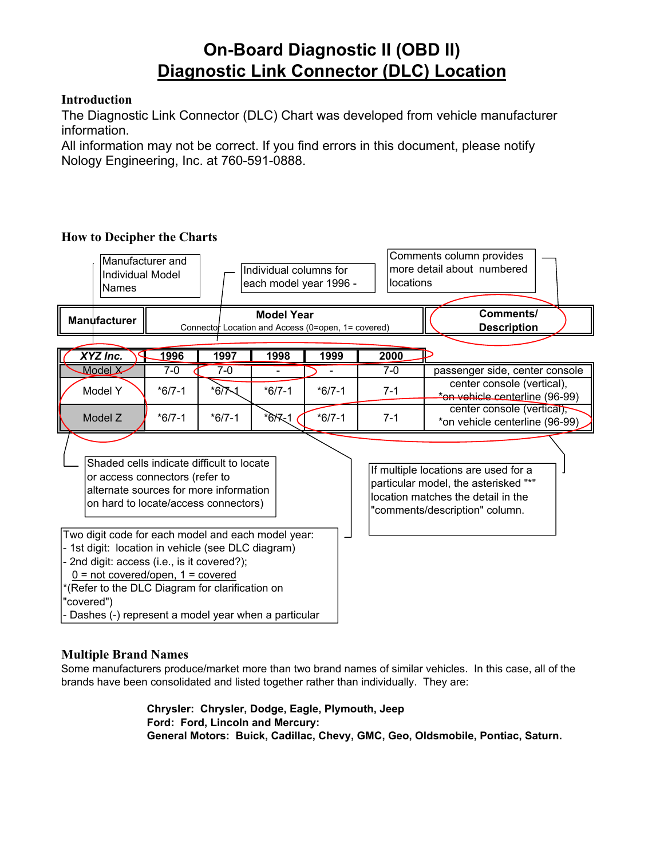# **On-Board Diagnostic II (OBD II) Diagnostic Link Connector (DLC) Location**

### **Introduction**

The Diagnostic Link Connector (DLC) Chart was developed from vehicle manufacturer information.

All information may not be correct. If you find errors in this document, please notify Nology Engineering, Inc. at 760-591-0888.

### **How to Decipher the Charts**



### **Multiple Brand Names**

Some manufacturers produce/market more than two brand names of similar vehicles. In this case, all of the brands have been consolidated and listed together rather than individually. They are:

> **Chrysler: Chrysler, Dodge, Eagle, Plymouth, Jeep Ford: Ford, Lincoln and Mercury: General Motors: Buick, Cadillac, Chevy, GMC, Geo, Oldsmobile, Pontiac, Saturn.**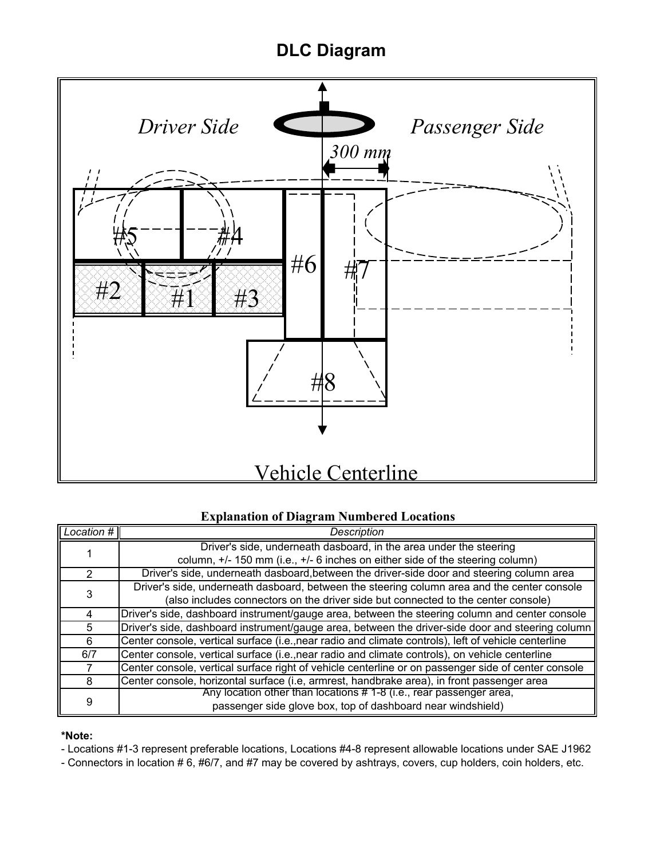# **DLC Diagram**



### **Explanation of Diagram Numbered Locations**

| Location # | <b>Description</b>                                                                                   |
|------------|------------------------------------------------------------------------------------------------------|
|            | Driver's side, underneath dasboard, in the area under the steering                                   |
|            | column, +/- 150 mm (i.e., +/- 6 inches on either side of the steering column)                        |
| 2          | Driver's side, underneath dasboard, between the driver-side door and steering column area            |
| 3          | Driver's side, underneath dasboard, between the steering column area and the center console          |
|            | (also includes connectors on the driver side but connected to the center console)                    |
| 4          | Driver's side, dashboard instrument/gauge area, between the steering column and center console       |
| 5          | Driver's side, dashboard instrument/gauge area, between the driver-side door and steering column     |
| 6          | Center console, vertical surface (i.e., near radio and climate controls), left of vehicle centerline |
| 6/7        | Center console, vertical surface (i.e., near radio and climate controls), on vehicle centerline      |
|            | Center console, vertical surface right of vehicle centerline or on passenger side of center console  |
| 8          | Center console, horizontal surface (i.e, armrest, handbrake area), in front passenger area           |
|            | Any location other than locations #1-8 (i.e., rear passenger area,                                   |
| 9          | passenger side glove box, top of dashboard near windshield)                                          |

### **\*Note:**

- Locations #1-3 represent preferable locations, Locations #4-8 represent allowable locations under SAE J1962

- Connectors in location # 6, #6/7, and #7 may be covered by ashtrays, covers, cup holders, coin holders, etc.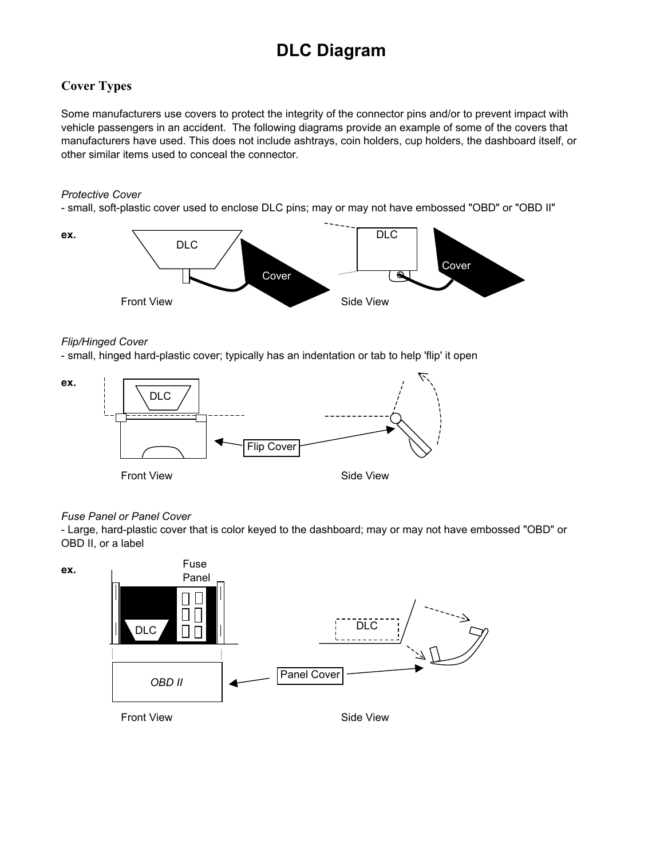# **DLC Diagram**

## **Cover Types**

Some manufacturers use covers to protect the integrity of the connector pins and/or to prevent impact with vehicle passengers in an accident. The following diagrams provide an example of some of the covers that manufacturers have used. This does not include ashtrays, coin holders, cup holders, the dashboard itself, or other similar items used to conceal the connector.

### *Protective Cover*

- small, soft-plastic cover used to enclose DLC pins; may or may not have embossed "OBD" or "OBD II"



### *Flip/Hinged Cover*

- small, hinged hard-plastic cover; typically has an indentation or tab to help 'flip' it open



### *Fuse Panel or Panel Cover*

- Large, hard-plastic cover that is color keyed to the dashboard; may or may not have embossed "OBD" or OBD II, or a label

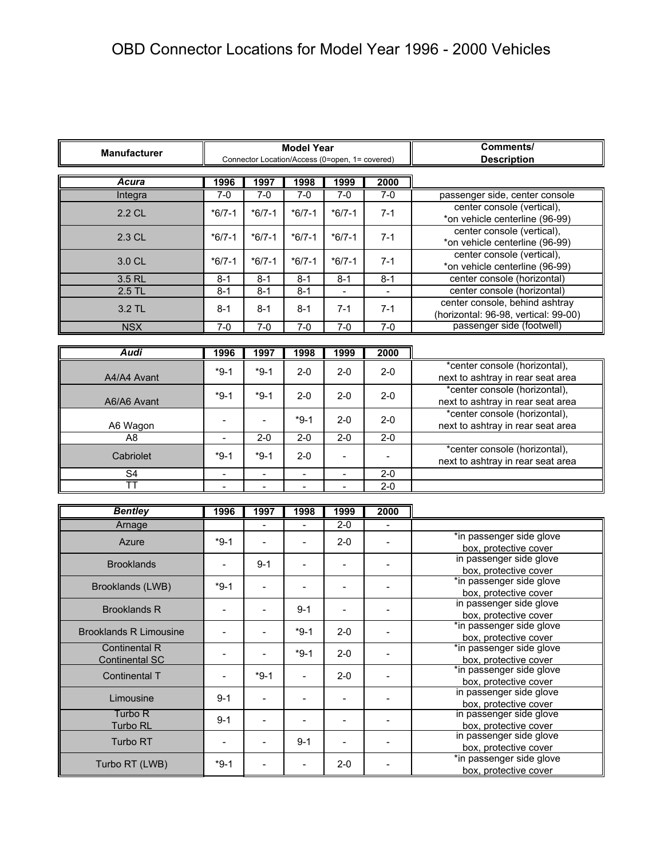| <b>Manufacturer</b>           |                          | <b>Model Year</b>        | Comments/                |                                                |                              |                                                                        |
|-------------------------------|--------------------------|--------------------------|--------------------------|------------------------------------------------|------------------------------|------------------------------------------------------------------------|
|                               |                          |                          |                          | Connector Location/Access (0=open, 1= covered) |                              | <b>Description</b>                                                     |
| Acura                         | 1996                     | 1997                     | 1998                     | 1999                                           | 2000                         |                                                                        |
| Integra                       | $7 - 0$                  | $7-0$                    | $7-0$                    | $7-0$                                          | $7-0$                        | passenger side, center console                                         |
| 2.2 CL                        | $*6/7-1$                 | $*6/7-1$                 | $*6/7-1$                 | $*6/7-1$                                       | $7 - 1$                      | center console (vertical),<br>*on vehicle centerline (96-99)           |
| 2.3 CL                        | $*6/7-1$                 | $*6/7-1$                 | $*6/7-1$                 | $*6/7-1$                                       | $7 - 1$                      | center console (vertical),                                             |
|                               |                          |                          |                          |                                                |                              | *on vehicle centerline (96-99)<br>center console (vertical),           |
| 3.0 CL                        | $*6/7-1$                 | $*6/7-1$                 | $*6/7-1$                 | $*6/7-1$                                       | $7 - 1$                      | *on vehicle centerline (96-99)                                         |
| 3.5 RL                        | $8 - 1$                  | $8 - 1$                  | $8 - 1$                  | $8 - 1$                                        | $8 - 1$                      | center console (horizontal)                                            |
| $2.5$ TL                      | $8 - 1$                  | $8-1$                    | $8 - 1$                  | $\blacksquare$                                 | $\overline{\phantom{a}}$     | center console (horizontal)                                            |
| 3.2 TL                        | $8 - 1$                  | $8 - 1$                  | $8 - 1$                  | $7 - 1$                                        | $7 - 1$                      | center console, behind ashtray<br>(horizontal: 96-98, vertical: 99-00) |
| <b>NSX</b>                    | $7-0$                    | $7-0$                    | $7 - 0$                  | $7-0$                                          | $7-0$                        | passenger side (footwell)                                              |
|                               |                          |                          |                          |                                                |                              |                                                                        |
| <b>Audi</b>                   | 1996                     | 1997                     | 1998                     | 1999                                           | 2000                         |                                                                        |
| A4/A4 Avant                   | $*9-1$                   | $*9-1$                   | $2 - 0$                  | $2 - 0$                                        | $2 - 0$                      | *center console (horizontal),<br>next to ashtray in rear seat area     |
|                               |                          |                          |                          |                                                |                              | *center console (horizontal),                                          |
| A6/A6 Avant                   | $*9-1$                   | $*9-1$                   | $2 - 0$                  | $2 - 0$                                        | $2 - 0$                      | next to ashtray in rear seat area                                      |
|                               |                          |                          |                          |                                                |                              | *center console (horizontal),                                          |
| A6 Wagon                      |                          |                          | $*9-1$                   | $2 - 0$                                        | $2 - 0$                      | next to ashtray in rear seat area                                      |
| A <sub>8</sub>                | $\blacksquare$           | $2 - 0$                  | $2 - 0$                  | $2 - 0$                                        | $2-0$                        |                                                                        |
| Cabriolet                     | $*9-1$                   | $*9-1$                   | $2 - 0$                  | $\blacksquare$                                 |                              | *center console (horizontal),                                          |
|                               |                          |                          |                          |                                                |                              | next to ashtray in rear seat area                                      |
| $\overline{\mathsf{S}4}$      | $\overline{\phantom{a}}$ | $\mathbb{Z}^2$           | $\overline{a}$           | $\blacksquare$                                 | $2 - 0$                      |                                                                        |
| <b>TT</b>                     |                          | $\overline{\phantom{a}}$ | $\overline{\phantom{a}}$ | $\overline{\phantom{a}}$                       | $2 - 0$                      |                                                                        |
| <b>Bentley</b>                | 1996                     | 1997                     | 1998                     | 1999                                           | 2000                         |                                                                        |
| Arnage                        |                          | $\overline{a}$           | $\overline{\phantom{a}}$ | $2 - 0$                                        | $\overline{a}$               |                                                                        |
| Azure                         | $*9-1$                   | $\frac{1}{2}$            | $\overline{\phantom{a}}$ | $2 - 0$                                        | $\qquad \qquad -$            | *in passenger side glove                                               |
|                               |                          |                          |                          |                                                |                              | box, protective cover<br>in passenger side glove                       |
| <b>Brooklands</b>             | $\blacksquare$           | $9 - 1$                  | $\overline{\phantom{a}}$ | $\overline{\phantom{a}}$                       | $\overline{\phantom{a}}$     | box, protective cover                                                  |
|                               | $*9-1$                   |                          |                          |                                                |                              | *in passenger side glove                                               |
| Brooklands (LWB)              |                          | $\blacksquare$           | $\overline{\phantom{a}}$ | $\overline{\phantom{a}}$                       | $\qquad \qquad \blacksquare$ | box, protective cover                                                  |
| <b>Brooklands R</b>           |                          | $\overline{\phantom{a}}$ | $9 - 1$                  | ÷                                              |                              | in passenger side glove<br>box, protective cover                       |
| <b>Brooklands R Limousine</b> |                          | $\blacksquare$           | $*9-1$                   | $2 - 0$                                        |                              | *in passenger side glove<br>box, protective cover                      |
| <b>Continental R</b>          |                          |                          |                          |                                                |                              | *in passenger side glove                                               |
| <b>Continental SC</b>         | $\qquad \qquad -$        |                          | $*9-1$                   | $2 - 0$                                        | $\overline{\phantom{a}}$     | box, protective cover                                                  |
| Continental T                 |                          | $*9-1$                   | $\overline{a}$           | $2 - 0$                                        | $\frac{1}{2}$                | *in passenger side glove<br>box, protective cover                      |
| Limousine                     | $9 - 1$                  | $\overline{\phantom{a}}$ | $\overline{\phantom{m}}$ | $\overline{\phantom{a}}$                       | $\overline{\phantom{a}}$     | in passenger side glove<br>box, protective cover                       |
| Turbo R                       | $9 - 1$                  | $\overline{\phantom{a}}$ | $\overline{\phantom{a}}$ | $\overline{\phantom{a}}$                       | $\frac{1}{2}$                | in passenger side glove                                                |
| Turbo RL                      |                          |                          |                          |                                                |                              | box, protective cover<br>in passenger side glove                       |
| Turbo RT                      |                          | $\overline{\phantom{a}}$ | $9 - 1$                  | $\overline{a}$                                 | -                            | box, protective cover                                                  |
| Turbo RT (LWB)                | $*9-1$                   | $\overline{a}$           | $\overline{\phantom{a}}$ | $2 - 0$                                        | L,                           | *in passenger side glove<br>box, protective cover                      |
|                               |                          |                          |                          |                                                |                              |                                                                        |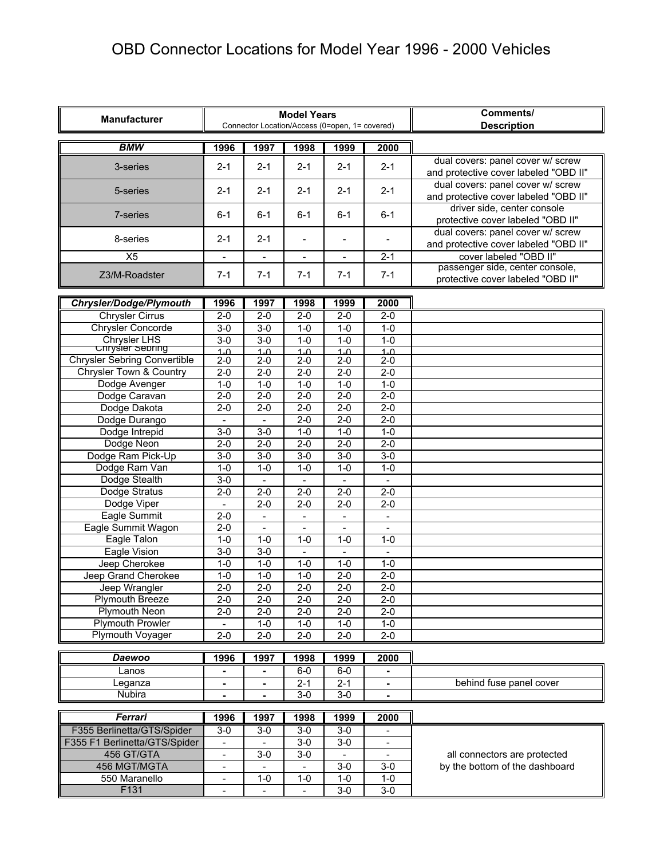| <b>Manufacturer</b>                                 |                          |                          | <b>Model Years</b>       |                                                | Comments/                |                                                                            |
|-----------------------------------------------------|--------------------------|--------------------------|--------------------------|------------------------------------------------|--------------------------|----------------------------------------------------------------------------|
|                                                     |                          |                          |                          | Connector Location/Access (0=open, 1= covered) |                          | <b>Description</b>                                                         |
| <b>BMW</b>                                          | 1996                     | 1997                     | 1998                     | 1999                                           | 2000                     |                                                                            |
| 3-series                                            | $2 - 1$                  | $2 - 1$                  | $2 - 1$                  | $2 - 1$                                        | $2 - 1$                  | dual covers: panel cover w/ screw<br>and protective cover labeled "OBD II" |
| 5-series                                            | $2 - 1$                  | $2 - 1$                  | $2 - 1$                  | $2 - 1$                                        | $2 - 1$                  | dual covers: panel cover w/ screw<br>and protective cover labeled "OBD II" |
| 7-series                                            | $6 - 1$                  | $6 - 1$                  | $6 - 1$                  | $6 - 1$                                        | $6 - 1$                  | driver side, center console<br>protective cover labeled "OBD II"           |
| 8-series                                            | $2 - 1$                  | $2 - 1$                  |                          | $\blacksquare$                                 |                          | dual covers: panel cover w/ screw<br>and protective cover labeled "OBD II" |
| X <sub>5</sub>                                      |                          |                          | $\overline{\phantom{a}}$ | $\overline{\phantom{a}}$                       | $2 - 1$                  | cover labeled "OBD II"                                                     |
| Z3/M-Roadster                                       | $7 - 1$                  | $7 - 1$                  | $7 - 1$                  | $7 - 1$                                        | $7 - 1$                  | passenger side, center console,<br>protective cover labeled "OBD II"       |
| <b>Chrysler/Dodge/Plymouth</b>                      | 1996                     | 1997                     | 1998                     | 1999                                           | 2000                     |                                                                            |
| <b>Chrysler Cirrus</b>                              | $2 - 0$                  | $2 - 0$                  | $2 - 0$                  | $2 - 0$                                        | $2 - 0$                  |                                                                            |
| <b>Chrysler Concorde</b>                            | $3-0$                    | $3 - 0$                  | $1 - 0$                  | $1 - 0$                                        | $1 - 0$                  |                                                                            |
| <b>Chrysler LHS</b>                                 | $3-0$                    | $\overline{3-0}$         | $1-0$                    | $1-0$                                          | $1-0$                    |                                                                            |
| <b>Unryster Sepring</b>                             | $1 - \Omega$             | $1 - \Omega$             | $1 - \Omega$             | $1 - \Omega$                                   | $1 - \Omega$             |                                                                            |
| <b>Chrysler Sebring Convertible</b>                 | $2-0$                    | $2 - 0$                  | $2 - 0$                  | $2 - 0$                                        | $2 - 0$                  |                                                                            |
| <b>Chrysler Town &amp; Country</b><br>Dodge Avenger | $2 - 0$<br>$1-0$         | $2 - 0$<br>$1-0$         | $2 - 0$<br>$1-0$         | $2 - 0$<br>$1 - 0$                             | $2 - 0$<br>$1 - 0$       |                                                                            |
| Dodge Caravan                                       | $2 - 0$                  | $2 - 0$                  | $2 - 0$                  | $2-0$                                          | $2 - 0$                  |                                                                            |
| Dodge Dakota                                        | $2 - 0$                  | $2 - 0$                  | $2 - 0$                  | $2 - 0$                                        | $2 - 0$                  |                                                                            |
| Dodge Durango                                       |                          |                          | $2 - 0$                  | $2 - 0$                                        | $2 - 0$                  |                                                                            |
| Dodge Intrepid                                      | $3-0$                    | $3-0$                    | $1 - 0$                  | $1 - 0$                                        | $1 - 0$                  |                                                                            |
| Dodge Neon                                          | $2 - 0$                  | $2 - 0$                  | $2 - 0$                  | $2 - 0$                                        | $2 - 0$                  |                                                                            |
| Dodge Ram Pick-Up                                   | $3-0$                    | $\overline{3-0}$         | $3-0$                    | $3-0$                                          | $3-0$                    |                                                                            |
| Dodge Ram Van                                       | $1-0$                    | $1-0$                    | $1-0$                    | $1-0$                                          | $1 - 0$                  |                                                                            |
| Dodge Stealth                                       | $3-0$                    |                          |                          |                                                | $\overline{\phantom{a}}$ |                                                                            |
| Dodge Stratus                                       | $2-0$                    | $2 - 0$                  | $2 - 0$                  | $2 - 0$                                        | $2 - 0$                  |                                                                            |
| Dodge Viper                                         | $\blacksquare$           | $2 - 0$                  | $2 - 0$                  | $2 - 0$                                        | $2 - 0$                  |                                                                            |
| Eagle Summit                                        | $2 - 0$                  |                          |                          |                                                |                          |                                                                            |
| Eagle Summit Wagon                                  | $2 - 0$                  |                          |                          |                                                |                          |                                                                            |
| Eagle Talon                                         | $1 - 0$                  | $1 - 0$                  | $1 - 0$                  | $1 - 0$                                        | $1 - 0$                  |                                                                            |
| Eagle Vision                                        | $3 - 0$                  | $3 - 0$                  | $\overline{\phantom{a}}$ | $\blacksquare$                                 | $\overline{\phantom{a}}$ |                                                                            |
| Jeep Cherokee                                       | $1-0$                    | $1 - 0$                  | $1 - 0$                  | $1 - 0$                                        | $1 - 0$                  |                                                                            |
| Jeep Grand Cherokee                                 | $1-0$                    | $1-0$                    | $1-0$                    | $2 - 0$                                        | $2-0$                    |                                                                            |
| Jeep Wrangler                                       | $2 - 0$                  | $2 - 0$                  | $2 - 0$                  | $2 - 0$                                        | $2 - 0$                  |                                                                            |
| Plymouth Breeze                                     | $2 - 0$                  | $2 - 0$                  | $2 - 0$                  | $2 - 0$                                        | $2 - 0$                  |                                                                            |
| Plymouth Neon                                       | $2 - 0$                  | $2 - 0$                  | $2 - 0$                  | $2 - 0$                                        | $2 - 0$                  |                                                                            |
| <b>Plymouth Prowler</b>                             |                          | $1 - 0$                  | $1 - 0$                  | $1 - 0$                                        | $1 - 0$                  |                                                                            |
| <b>Plymouth Voyager</b>                             | $2 - 0$                  | $2 - 0$                  | $2 - 0$                  | $2 - 0$                                        | $2 - 0$                  |                                                                            |
| <b>Daewoo</b>                                       | 1996                     | 1997                     | 1998                     | 1999                                           | 2000                     |                                                                            |
| Lanos                                               |                          |                          | $6-0$                    | $6-0$                                          |                          |                                                                            |
| Leganza                                             |                          | ٠                        | $2 - 1$                  | $2 - 1$                                        | ä,                       | behind fuse panel cover                                                    |
| Nubira                                              |                          | $\overline{\phantom{0}}$ | $3-0$                    | $3-0$                                          | $\overline{\phantom{m}}$ |                                                                            |
| Ferrari                                             | 1996                     | 1997                     | 1998                     | 1999                                           | 2000                     |                                                                            |
| F355 Berlinetta/GTS/Spider                          | $3-0$                    | $3-0$                    | $3-0$                    | $3-0$                                          |                          |                                                                            |
| F355 F1 Berlinetta/GTS/Spider                       |                          |                          | $3-0$                    | $3-0$                                          |                          |                                                                            |
| 456 GT/GTA                                          | $\overline{\phantom{a}}$ | $3-0$                    | $3-0$                    | $\blacksquare$                                 | $\overline{\phantom{a}}$ | all connectors are protected                                               |
| 456 MGT/MGTA                                        | $\overline{\phantom{a}}$ |                          |                          | $3-0$                                          | $3-0$                    | by the bottom of the dashboard                                             |
| 550 Maranello                                       | $\overline{\phantom{a}}$ | $1 - 0$                  | $1 - 0$                  | $1 - 0$                                        | $1 - 0$                  |                                                                            |
| F131                                                | $\overline{\phantom{a}}$ |                          |                          | $3-0$                                          | $3-0$                    |                                                                            |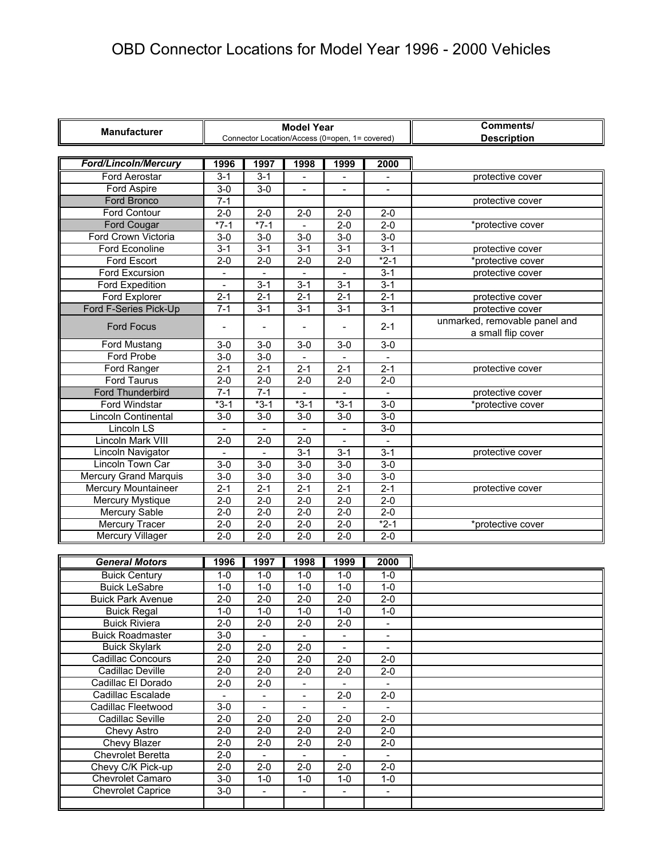| <b>Manufacturer</b>          |                          |                          | <b>Model Year</b>        | Connector Location/Access (0=open, 1= covered) | Comments/<br><b>Description</b> |                               |
|------------------------------|--------------------------|--------------------------|--------------------------|------------------------------------------------|---------------------------------|-------------------------------|
|                              |                          |                          |                          |                                                |                                 |                               |
| <b>Ford/Lincoln/Mercury</b>  | 1996                     | 1997                     | 1998                     | 1999                                           | 2000                            |                               |
| <b>Ford Aerostar</b>         | $3 - 1$                  | $3 - 1$                  | $\sim$                   | $\blacksquare$                                 | $\overline{a}$                  | protective cover              |
| Ford Aspire                  | $3-0$                    | $3 - 0$                  | $\blacksquare$           | $\blacksquare$                                 | $\blacksquare$                  |                               |
| Ford Bronco                  | $7 - 1$                  |                          |                          |                                                |                                 | protective cover              |
| Ford Contour                 | $2 - 0$                  | $2 - 0$                  | $2 - 0$                  | $2 - 0$                                        | $2 - 0$                         |                               |
| Ford Cougar                  | $*7-1$                   | $*7-1$                   |                          | $2 - 0$                                        | $2 - 0$                         | *protective cover             |
| Ford Crown Victoria          | $3 - 0$                  | $3-0$                    | $3 - 0$                  | $3 - 0$                                        | $3 - 0$                         |                               |
| <b>Ford Econoline</b>        | $3 - 1$                  | $3 - 1$                  | $3 - 1$                  | $3 - 1$                                        | $3 - 1$                         | protective cover              |
| Ford Escort                  | $2 - 0$                  | $\overline{2-0}$         | $2 - 0$                  | $2 - 0$                                        | $*2-1$                          | *protective cover             |
| Ford Excursion               | $\overline{\phantom{a}}$ | $\overline{\phantom{a}}$ | $\overline{\phantom{a}}$ | $\blacksquare$                                 | $3 - 1$                         | protective cover              |
| Ford Expedition              |                          | $3 - 1$                  | $3 - 1$                  | $3 - 1$                                        | $3 - 1$                         |                               |
| Ford Explorer                | $2 - 1$                  | $2 - 1$                  | $2 - 1$                  | $2 - 1$                                        | $2 - 1$                         | protective cover              |
| Ford F-Series Pick-Up        | $7 - 1$                  | $3 - 1$                  | $3 - 1$                  | $3 - 1$                                        | $3 - 1$                         | protective cover              |
|                              |                          |                          |                          |                                                |                                 | unmarked, removable panel and |
| <b>Ford Focus</b>            |                          |                          |                          |                                                | $2 - 1$                         | a small flip cover            |
| Ford Mustang                 | $3-0$                    | $3-0$                    | $\overline{3-0}$         | $\overline{3-0}$                               | $3-0$                           |                               |
| Ford Probe                   | $3-0$                    | $3-0$                    |                          |                                                |                                 |                               |
| Ford Ranger                  | $2 - 1$                  | $2 - 1$                  | $2 - 1$                  | $2 - 1$                                        | $2 - 1$                         | protective cover              |
| Ford Taurus                  | $2 - 0$                  | $2 - 0$                  | $\overline{2-0}$         | $2 - 0$                                        | $2 - 0$                         |                               |
| <b>Ford Thunderbird</b>      | $7 - 1$                  | $7-1$                    |                          |                                                |                                 | protective cover              |
| <b>Ford Windstar</b>         | $*3-1$                   | $*3-1$                   | $*3-1$                   | $*3-1$                                         | $\overline{3-0}$                | *protective cover             |
| Lincoln Continental          | $3 - 0$                  | $3-0$                    | $3-0$                    | $3-0$                                          | $3-0$                           |                               |
| <b>Lincoln LS</b>            |                          |                          |                          |                                                | $3-0$                           |                               |
| Lincoln Mark VIII            | $2 - 0$                  | $2 - 0$                  | $2 - 0$                  | $\blacksquare$                                 | $\blacksquare$                  |                               |
| Lincoln Navigator            |                          |                          | $3 - 1$                  | $3 - 1$                                        | $3 - 1$                         | protective cover              |
| Lincoln Town Car             | $3-0$                    | $3-0$                    | $3-0$                    | $3-0$                                          | $3-0$                           |                               |
| <b>Mercury Grand Marquis</b> | $3-0$                    | $3-0$                    | $3-0$                    | $3-0$                                          | $3-0$                           |                               |
| Mercury Mountaineer          | $2 - 1$                  | $2 - 1$                  | $2 - 1$                  | $2 - 1$                                        | $2 - 1$                         | protective cover              |
| Mercury Mystique             | $2 - 0$                  | $2 - 0$                  | $2 - 0$                  | $2 - 0$                                        | $2 - 0$                         |                               |
| Mercury Sable                | $2 - 0$                  | $2 - 0$                  | $2 - 0$                  | $2 - 0$                                        | $2 - 0$                         |                               |
| <b>Mercury Tracer</b>        | $2 - 0$                  | $2-0$                    | $2 - 0$                  | $2 - 0$                                        | $*2-1$                          | *protective cover             |
| <b>Mercury Villager</b>      | $2 - 0$                  | $2 - 0$                  | $2 - 0$                  | $2 - 0$                                        | $2 - 0$                         |                               |
|                              |                          |                          |                          |                                                |                                 |                               |
| <b>General Motors</b>        | 1996                     | 1997                     | 1998                     | 1999                                           | 2000                            |                               |
| <b>Buick Century</b>         | $1-0$                    | $1-0$                    | $1-0$                    | $1-0$                                          | $1-0$                           |                               |
| <b>Buick LeSabre</b>         | $1 - 0$                  | $1 - 0$                  | $1 - 0$                  | $1 - 0$                                        | $1 - 0$                         |                               |
| <b>Buick Park Avenue</b>     | $2 - 0$                  | $2 - 0$                  | $2 - 0$                  | $2 - 0$                                        | $2 - 0$                         |                               |
| <b>Buick Regal</b>           | $1 - 0$                  | $1 - 0$                  | $1 - 0$                  | $1 - 0$                                        | $1 - 0$                         |                               |
| <b>Buick Riviera</b>         | $2 - 0$                  | $2 - 0$                  | $2 - 0$                  | $2 - 0$                                        |                                 |                               |
| <b>Buick Roadmaster</b>      | $3-0$                    |                          |                          |                                                | $\overline{\phantom{a}}$        |                               |
| <b>Buick Skylark</b>         | $2 - 0$                  | $2 - 0$                  | $2-0$                    | $\overline{\phantom{a}}$                       | $\overline{\phantom{a}}$        |                               |
| <b>Cadillac Concours</b>     | $2 - 0$                  | $2-0$                    | $2-0$                    | $2-0$                                          | $2 - 0$                         |                               |
| Cadillac Deville             | $2 - 0$                  | $2 - 0$                  | $2 - 0$                  | $2 - 0$                                        | $2 - 0$                         |                               |
| Cadillac El Dorado           | $2 - 0$                  | $2-0$                    | $\overline{\phantom{a}}$ | $\overline{\phantom{a}}$                       | $\blacksquare$                  |                               |
| Cadillac Escalade            |                          |                          |                          | $2 - 0$                                        | $2 - 0$                         |                               |
| Cadillac Fleetwood           | $3-0$                    |                          |                          | $\overline{\phantom{a}}$                       | $\blacksquare$                  |                               |
| Cadillac Seville             | $2 - 0$                  | $2 - 0$                  | $2 - 0$                  | $2 - 0$                                        | $2 - 0$                         |                               |
| Chevy Astro                  | $2 - 0$                  | $2 - 0$                  | $2 - 0$                  | $2 - 0$                                        | $2 - 0$                         |                               |
| Chevy Blazer                 | $2 - 0$                  | $2 - 0$                  | $2 - 0$                  | $2 - 0$                                        | $2 - 0$                         |                               |
| <b>Chevrolet Beretta</b>     | $2 - 0$                  | $\overline{\phantom{a}}$ | $\overline{\phantom{a}}$ | $\blacksquare$                                 | $\blacksquare$                  |                               |
| Chevy C/K Pick-up            | $2 - 0$                  | $2 - 0$                  | $2-0$                    | $2-0$                                          | $2 - 0$                         |                               |
| Chevrolet Camaro             | $3-0$                    | $1 - 0$                  | $1 - 0$                  | $1 - 0$                                        | $1-0$                           |                               |
| <b>Chevrolet Caprice</b>     | $3-0$                    |                          |                          |                                                |                                 |                               |
|                              |                          |                          |                          |                                                |                                 |                               |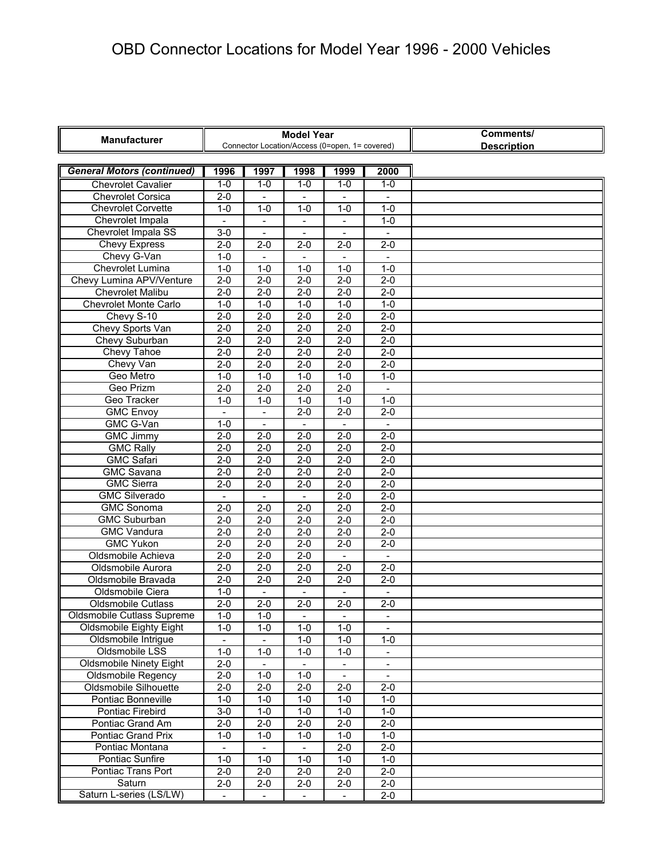| <b>Manufacturer</b>               |                          |                          | <b>Model Year</b><br>Connector Location/Access (0=open, 1= covered) |                          | Comments/<br><b>Description</b> |  |
|-----------------------------------|--------------------------|--------------------------|---------------------------------------------------------------------|--------------------------|---------------------------------|--|
|                                   |                          |                          |                                                                     |                          |                                 |  |
| <b>General Motors (continued)</b> | 1996                     | 1997                     | 1998                                                                | 1999                     | 2000                            |  |
| <b>Chevrolet Cavalier</b>         | $1-0$                    | $1 - 0$                  | $1-0$                                                               | $1 - 0$                  | $1-0$                           |  |
| <b>Chevrolet Corsica</b>          | $2 - 0$                  |                          |                                                                     |                          |                                 |  |
| <b>Chevrolet Corvette</b>         | $1 - 0$                  | $1 - 0$                  | $1 - 0$                                                             | $1 - 0$                  | $1 - 0$                         |  |
| Chevrolet Impala                  |                          |                          |                                                                     | $\overline{\phantom{a}}$ | $1 - 0$                         |  |
| Chevrolet Impala SS               | $3 - 0$                  |                          |                                                                     |                          |                                 |  |
| <b>Chevy Express</b>              | $2 - 0$                  | $2 - 0$                  | $2 - 0$                                                             | $2 - 0$                  | $2 - 0$                         |  |
| Chevy G-Van                       | $1 - 0$                  | $\blacksquare$           | $\blacksquare$                                                      | $\blacksquare$           | $\overline{\phantom{a}}$        |  |
| Chevrolet Lumina                  | $1 - 0$                  | $1 - 0$                  | $1 - 0$                                                             | $1 - 0$                  | $1 - 0$                         |  |
| Chevy Lumina APV/Venture          | $2 - 0$                  | $2 - 0$                  | $2 - 0$                                                             | $2 - 0$                  | $2-0$                           |  |
| <b>Chevrolet Malibu</b>           | $2 - 0$                  | $2 - 0$                  | $2 - 0$                                                             | $2 - 0$                  | $2 - 0$                         |  |
| <b>Chevrolet Monte Carlo</b>      | $1 - 0$                  | $1-0$                    | $1-0$                                                               | $1-0$                    | $1-0$                           |  |
| Chevy S-10                        | $2 - 0$                  | $2 - 0$                  | $2 - 0$                                                             | $2 - 0$                  | $2 - 0$                         |  |
| Chevy Sports Van                  | $2 - 0$                  | $2 - 0$                  | $2 - 0$                                                             | $2 - 0$                  | $2 - 0$                         |  |
| Chevy Suburban                    | $2 - 0$                  | $2-0$                    | $2 - 0$                                                             | $2-0$                    | $2-0$                           |  |
| Chevy Tahoe                       | $2 - 0$                  | $2 - 0$                  | $2 - 0$                                                             | $2 - 0$                  | $2 - 0$                         |  |
| Chevy Van                         | $2 - 0$                  | $2-0$                    | $2 - 0$                                                             | $2-0$                    | $2 - 0$                         |  |
| Geo Metro                         | $1 - 0$                  | $1 - 0$                  | $1 - 0$                                                             | $1 - 0$                  | $1 - 0$                         |  |
| Geo Prizm                         | $2 - 0$                  | $2 - 0$                  | $2 - 0$                                                             | $2 - 0$                  |                                 |  |
| Geo Tracker                       | $1 - 0$                  | $1 - 0$                  | $1 - 0$                                                             | $1 - 0$                  | $1 - 0$                         |  |
| <b>GMC Envoy</b>                  | $\blacksquare$           | $\blacksquare$           | $2 - 0$                                                             | $2 - 0$                  | $2 - 0$                         |  |
| GMC G-Van                         | $1 - 0$                  | $\overline{\phantom{a}}$ |                                                                     | $\overline{\phantom{a}}$ | $\frac{1}{2}$                   |  |
| <b>GMC Jimmy</b>                  | $2 - 0$                  | $2 - 0$                  | $2 - 0$                                                             | $2 - 0$                  | $2 - 0$                         |  |
| <b>GMC Rally</b>                  | $2 - 0$                  | $2 - 0$                  | $2 - 0$                                                             | $2 - 0$                  | $2 - 0$                         |  |
| <b>GMC Safari</b>                 | $2 - 0$                  | $2 - 0$                  | $2 - 0$                                                             | $2 - 0$                  | $2 - 0$                         |  |
| <b>GMC Savana</b>                 | $2 - 0$                  | $2-0$                    | $2 - 0$                                                             | $2 - 0$                  | $2 - 0$                         |  |
| <b>GMC Sierra</b>                 | $2 - 0$                  | $2 - 0$                  | $2 - 0$                                                             | $2 - 0$                  | $2 - 0$                         |  |
| <b>GMC Silverado</b>              | $\overline{\phantom{a}}$ |                          |                                                                     | $2 - 0$                  | $2 - 0$                         |  |
| <b>GMC Sonoma</b>                 | $2 - 0$                  | $2 - 0$                  | $2 - 0$                                                             | $2 - 0$                  | $2 - 0$                         |  |
| <b>GMC Suburban</b>               | $2 - 0$                  | $2 - 0$                  | $2 - 0$                                                             | $2 - 0$                  | $2 - 0$                         |  |
| <b>GMC Vandura</b>                | $2 - 0$                  | $2 - 0$                  | $2 - 0$                                                             | $2 - 0$                  | $2 - 0$                         |  |
| <b>GMC Yukon</b>                  | $2 - 0$                  | $2 - 0$                  | $2-0$                                                               | $2 - 0$                  | $2 - 0$                         |  |
| Oldsmobile Achieva                | $2 - 0$                  | $2 - 0$                  | $2 - 0$                                                             | $\overline{\phantom{a}}$ | $\overline{a}$                  |  |
| Oldsmobile Aurora                 | $2 - 0$                  | $2 - 0$                  | $2 - 0$                                                             | $2 - 0$                  | $2 - 0$                         |  |
| Oldsmobile Bravada                | $2 - 0$                  | $2-0$                    | $2 - 0$                                                             | $2-0$                    | $2 - 0$                         |  |
| Oldsmobile Ciera                  | $1 - 0$                  |                          |                                                                     |                          |                                 |  |
| <b>Oldsmobile Cutlass</b>         | $2 - 0$                  | $2 - 0$                  | $2 - 0$                                                             | $2 - 0$                  | $2 - 0$                         |  |
| Oldsmobile Cutlass Supreme        | $1 - 0$                  | $1 - 0$                  |                                                                     | $\overline{\phantom{a}}$ | $\overline{\phantom{a}}$        |  |
| Oldsmobile Eighty Eight           | $1 - 0$                  | $1 - 0$                  | $1 - 0$                                                             | $1 - 0$                  | $\overline{\phantom{a}}$        |  |
| Oldsmobile Intrigue               | $\overline{\phantom{a}}$ | $\overline{\phantom{a}}$ | $\overline{1-0}$                                                    | $1 - 0$                  | $1 - 0$                         |  |
| Oldsmobile LSS                    | $1 - 0$                  | $1 - 0$                  | $1 - 0$                                                             | $1 - 0$                  | $\frac{1}{2}$                   |  |
| <b>Oldsmobile Ninety Eight</b>    | $2-0$                    |                          |                                                                     | $\overline{\phantom{a}}$ | $\frac{1}{2}$                   |  |
| Oldsmobile Regency                | $2 - 0$                  | $1 - 0$                  | $1 - 0$                                                             | $\overline{\phantom{a}}$ | $\blacksquare$                  |  |
| Oldsmobile Silhouette             | $2 - 0$                  | $2 - 0$                  | $\overline{2}$ -0                                                   | $2 - 0$                  | $2 - 0$                         |  |
| Pontiac Bonneville                | $1 - 0$                  | $1 - 0$                  | $1 - 0$                                                             | $1 - 0$                  | $1 - 0$                         |  |
| Pontiac Firebird                  | $3-0$                    | $1 - 0$                  | $1 - 0$                                                             | $1 - 0$                  | $1 - 0$                         |  |
| Pontiac Grand Am                  | $2 - 0$                  | $2 - 0$                  | $2-0$                                                               | $2-0$                    | $2 - 0$                         |  |
| <b>Pontiac Grand Prix</b>         | $1 - 0$                  | $1 - 0$                  | $1 - 0$                                                             | $1 - 0$                  | $1 - 0$                         |  |
| Pontiac Montana                   |                          |                          |                                                                     | $2-0$                    | $2-0$                           |  |
| Pontiac Sunfire                   | $1 - 0$                  | $1 - 0$                  | $1 - 0$                                                             | $1-0$                    | $1-0$                           |  |
| Pontiac Trans Port                | $2-0$                    | $2 - 0$                  | $2 - 0$                                                             | $2 - 0$                  | $2-0$                           |  |
| Saturn                            | $2 - 0$                  | $2 - 0$                  | $2 - 0$                                                             | $2 - 0$                  | $2 - 0$                         |  |
| Saturn L-series (LS/LW)           | $\overline{\phantom{a}}$ | $\overline{\phantom{a}}$ | $\overline{\phantom{a}}$                                            | $\overline{\phantom{a}}$ | $2 - 0$                         |  |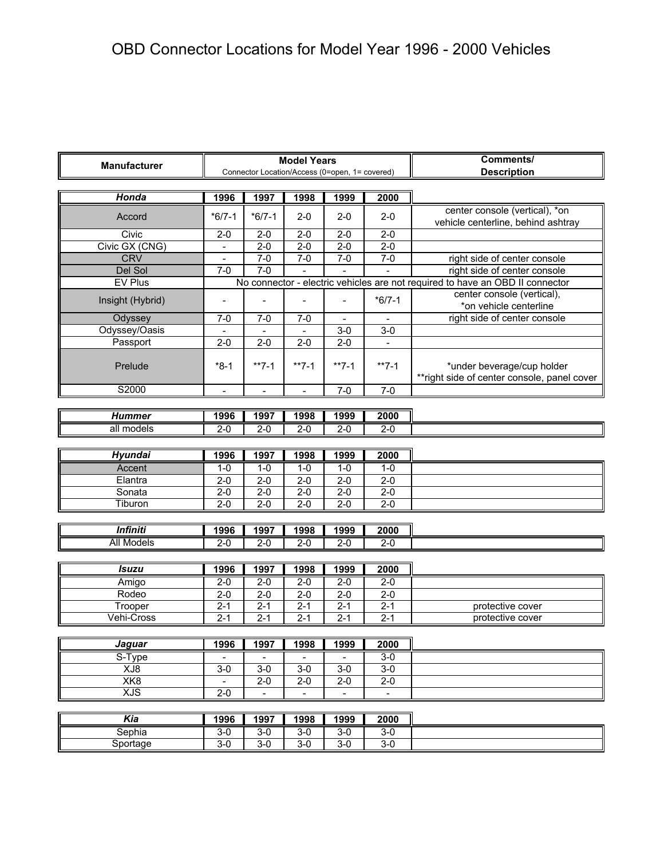| <b>Manufacturer</b> |                         |                          | <b>Model Years</b> | Connector Location/Access (0=open, 1= covered) | Comments/<br><b>Description</b> |                                                                               |  |  |  |
|---------------------|-------------------------|--------------------------|--------------------|------------------------------------------------|---------------------------------|-------------------------------------------------------------------------------|--|--|--|
| Honda               | 1996                    | 1997                     | 1998               | 1999                                           | 2000                            |                                                                               |  |  |  |
|                     |                         |                          |                    |                                                |                                 | center console (vertical), *on                                                |  |  |  |
| Accord              | $*6/7-1$                | $*6/7-1$                 | $2 - 0$            | $2 - 0$                                        | $2 - 0$                         | vehicle centerline, behind ashtray                                            |  |  |  |
| Civic               | $2 - 0$                 | $2 - 0$                  | $2 - 0$            | $2 - 0$                                        | $2 - 0$                         |                                                                               |  |  |  |
| Civic GX (CNG)      |                         | $2 - 0$                  | $2 - 0$            | $2 - 0$                                        | $2 - 0$                         |                                                                               |  |  |  |
| <b>CRV</b>          | $\equiv$                | $7 - 0$                  | $7-0$              | $7-0$                                          | $7 - 0$                         | right side of center console                                                  |  |  |  |
| Del Sol             | $7-0$                   | $7-0$                    |                    |                                                |                                 | right side of center console                                                  |  |  |  |
| <b>EV Plus</b>      |                         |                          |                    |                                                |                                 | No connector - electric vehicles are not required to have an OBD II connector |  |  |  |
| Insight (Hybrid)    | $\overline{a}$          |                          |                    |                                                | $*6/7-1$                        | center console (vertical),<br>*on vehicle centerline                          |  |  |  |
| Odyssey             | $7-0$                   | $7 - 0$                  | $7 - 0$            |                                                |                                 | right side of center console                                                  |  |  |  |
| Odyssey/Oasis       |                         | $\overline{a}$           | $\overline{a}$     | $3-0$                                          | $3-0$                           |                                                                               |  |  |  |
| Passport            | $2 - 0$                 | $2 - 0$                  | $2 - 0$            | $2 - 0$                                        |                                 |                                                                               |  |  |  |
| Prelude             | $*8-1$                  | $**7-1$                  | $**7-1$            | $**7-1$                                        | $**7-1$                         | *under beverage/cup holder<br>**right side of center console, panel cover     |  |  |  |
| S2000               |                         |                          |                    | $7 - 0$                                        | $7 - 0$                         |                                                                               |  |  |  |
|                     |                         |                          |                    |                                                |                                 |                                                                               |  |  |  |
| <b>Hummer</b>       | 1996                    | 1997                     | 1998               | 1999                                           | 2000                            |                                                                               |  |  |  |
| all models          | $2 - 0$                 | $2 - 0$                  | $2-0$              | $2 - 0$                                        | $2 - 0$                         |                                                                               |  |  |  |
|                     |                         |                          |                    |                                                |                                 |                                                                               |  |  |  |
| <b>Hyundai</b>      | 1996                    | 1997                     | 1998               | 1999                                           | 2000                            |                                                                               |  |  |  |
| Accent              | $1 - 0$                 | $1 - 0$                  | $1-0$              | $1 - 0$                                        | $1-0$                           |                                                                               |  |  |  |
| Elantra             | $2 - 0$                 | $2 - 0$                  | $2 - 0$            | $2 - 0$                                        | $2 - 0$                         |                                                                               |  |  |  |
| Sonata              | $2 - 0$                 | $\overline{2}$ -0        | $2 - 0$            | $2 - 0$                                        | $2 - 0$                         |                                                                               |  |  |  |
| Tiburon             | $2 - 0$                 | $2 - 0$                  | $2 - 0$            | $2 - 0$                                        | $2 - 0$                         |                                                                               |  |  |  |
|                     |                         |                          |                    |                                                |                                 |                                                                               |  |  |  |
| <b>Infiniti</b>     | 1996                    | 1997                     | 1998               | 1999                                           | 2000                            |                                                                               |  |  |  |
| <b>All Models</b>   | $2 - 0$                 | $2 - 0$                  | $2-0$              | $2 - 0$                                        | $2 - 0$                         |                                                                               |  |  |  |
|                     |                         |                          |                    |                                                |                                 |                                                                               |  |  |  |
| <b>Isuzu</b>        | 1996                    | 1997                     | 1998               | 1999                                           | 2000                            |                                                                               |  |  |  |
| Amigo               | $2 - 0$                 | $2 - 0$                  | $2 - 0$            | $2-0$                                          | $2 - 0$                         |                                                                               |  |  |  |
| Rodeo               | $2 - 0$                 | $2 - 0$                  | $2 - 0$            | $2 - 0$                                        | $2 - 0$                         |                                                                               |  |  |  |
| Trooper             | $2 - 1$                 | $2 - 1$                  | $2 - 1$            | $2 - 1$                                        | $2 - 1$                         | protective cover                                                              |  |  |  |
| Vehi-Cross          | $2 - 1$                 | $2 - 1$                  | $2 - 1$            | $2 - 1$                                        | $2 - 1$                         | protective cover                                                              |  |  |  |
|                     |                         |                          |                    |                                                |                                 |                                                                               |  |  |  |
| Jaguar              | 1996                    | 1997                     | 1998               | 1999                                           | 2000                            |                                                                               |  |  |  |
| S-Type<br>XJ8       |                         | $3 - 0$                  | $3 - 0$            | $3 - 0$                                        | $3-0$                           |                                                                               |  |  |  |
| XK8                 | $3-0$<br>$\blacksquare$ | $2-0$                    | $2 - 0$            | $2-0$                                          | $3-0$<br>$2-0$                  |                                                                               |  |  |  |
| <b>XJS</b>          | $2-0$                   | $\overline{\phantom{a}}$ | $\blacksquare$     | $\qquad \qquad \blacksquare$                   | $\overline{\phantom{a}}$        |                                                                               |  |  |  |
|                     |                         |                          |                    |                                                |                                 |                                                                               |  |  |  |
| Kia                 | 1996                    | 1997                     | 1998               | 1999                                           | 2000                            |                                                                               |  |  |  |
| Sephia              | $3-0$                   | $3 - 0$                  | $3 - 0$            | $3 - 0$                                        | $3 - 0$                         |                                                                               |  |  |  |
| Sportage            | $3-0$                   | $3-0$                    | $3-0$              | $3-0$                                          | $3-0$                           |                                                                               |  |  |  |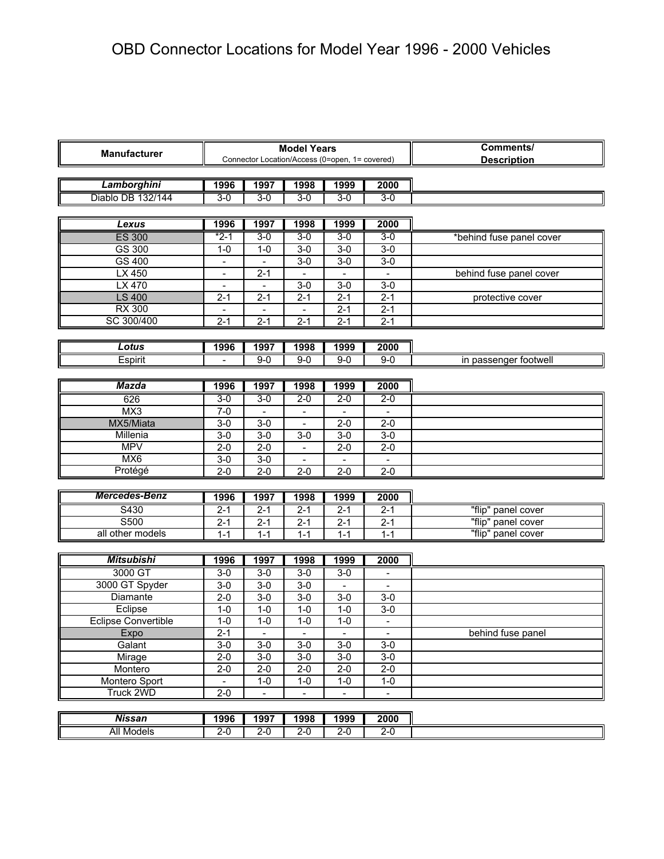| <b>Manufacturer</b>  |                          |                          | <b>Model Years</b>       | Connector Location/Access (0=open, 1= covered) | Comments/<br><b>Description</b> |                          |
|----------------------|--------------------------|--------------------------|--------------------------|------------------------------------------------|---------------------------------|--------------------------|
| Lamborghini          | 1996                     | 1997                     | 1998                     | 1999                                           | 2000                            |                          |
| Diablo DB 132/144    | $3-0$                    | $3-0$                    | $3 - 0$                  | $3 - 0$                                        | $3-0$                           |                          |
|                      |                          |                          |                          |                                                |                                 |                          |
| Lexus                | 1996                     | 1997                     | 1998                     | 1999                                           | 2000                            |                          |
| <b>ES 300</b>        | *2-1                     | $3 - 0$                  | $3 - 0$                  | $3 - 0$                                        | $3-0$                           | *behind fuse panel cover |
| GS 300               | $1 - 0$                  | $1 - 0$                  | $3-0$                    | $3-0$                                          | $3-0$                           |                          |
| GS 400               |                          |                          | $3-0$                    | $3-0$                                          | $3-0$                           |                          |
| LX 450               |                          | $2 - 1$                  |                          |                                                |                                 | behind fuse panel cover  |
| LX 470               |                          |                          | $3-0$                    | $3 - 0$                                        | $3-0$                           |                          |
| <b>LS 400</b>        | $2 - 1$                  | $2 - 1$                  | $2 - 1$                  | $2 - 1$                                        | $2 - 1$                         | protective cover         |
| <b>RX 300</b>        | $\overline{\phantom{a}}$ | $\overline{\phantom{0}}$ | $\overline{\phantom{a}}$ | $2 - 1$                                        | $2 - 1$                         |                          |
| SC 300/400           | $2 - 1$                  | $2 - 1$                  | $2 - 1$                  | $2 - 1$                                        | $2 - 1$                         |                          |
|                      |                          |                          |                          |                                                |                                 |                          |
| Lotus                | 1996                     | 1997                     | 1998                     | 1999                                           | 2000                            |                          |
| Espirit              |                          | $9 - 0$                  | $9 - 0$                  | $9 - 0$                                        | $9 - 0$                         | in passenger footwell    |
|                      |                          |                          |                          |                                                |                                 |                          |
| <b>Mazda</b>         | 1996                     | 1997                     | 1998                     | 1999                                           | 2000                            |                          |
| 626                  | $3-0$                    | $3-0$                    | $2 - 0$                  | $2-0$                                          | $2 - 0$                         |                          |
| MX3                  | $7-0$                    |                          |                          |                                                | $\frac{1}{2}$                   |                          |
| MX5/Miata            | $3-0$                    | $3-0$                    |                          | $2 - 0$                                        | $2 - 0$                         |                          |
| Millenia             | $3-0$                    | $3-0$                    | $3-0$                    | $3-0$                                          | $3-0$                           |                          |
| <b>MPV</b>           | $2 - 0$                  | $2 - 0$                  |                          | $2 - 0$                                        | $2 - 0$                         |                          |
| MX <sub>6</sub>      | $3-0$                    | $3-0$                    |                          |                                                |                                 |                          |
| Protégé              | $2 - 0$                  | $2 - 0$                  | $2 - 0$                  | $2 - 0$                                        | $2 - 0$                         |                          |
|                      |                          |                          |                          |                                                |                                 |                          |
| <b>Mercedes-Benz</b> | 1996                     | 1997                     | 1998                     | 1999                                           | 2000                            |                          |
| S430                 | $2 - 1$                  | $2 - 1$                  | $2 - 1$                  | $2 - 1$                                        | $2 - 1$                         | "flip" panel cover       |
| S500                 | $2 - 1$                  | $2 - 1$                  | $2 - 1$                  | $2 - 1$                                        | $2 - 1$                         | "flip" panel cover       |
| all other models     | $1 - 1$                  | $1 - 1$                  | $1 - 1$                  | $1 - 1$                                        | $1 - 1$                         | "flip" panel cover       |
|                      |                          |                          |                          |                                                |                                 |                          |
| <b>Mitsubishi</b>    | 1996                     | 1997                     | 1998                     | 1999                                           | 2000                            |                          |
| 3000 GT              | $3-0$                    | $3-0$                    | $3-0$                    | $3-0$                                          |                                 |                          |
| 3000 GT Spyder       | $3-0$                    | $3-0$                    | $3 - 0$                  |                                                | $\blacksquare$                  |                          |
| Diamante             | $2 - 0$                  | $3-0$                    | $3-0$                    | $3-0$                                          | $3-0$                           |                          |
| Eclipse              | $1 - 0$                  | $1 - 0$                  | $1 - 0$                  | $1 - 0$                                        | $3-0$                           |                          |
| Eclipse Convertible  | $1 - 0$                  | $1 - 0$                  | $1 - 0$                  | $1 - 0$                                        |                                 |                          |
| Expo                 | $2 - 1$                  | $\overline{\phantom{a}}$ | $\overline{\phantom{a}}$ | $\blacksquare$                                 | $\blacksquare$                  | behind fuse panel        |
| Galant               | $3-0$                    | $3-0$                    | $3-0$                    | $3-0$                                          | $3-0$                           |                          |
| Mirage               | $2-0$                    | $3-0$                    | $3-0$                    | $3-0$                                          | $3-0$                           |                          |
| Montero              | $2 - 0$                  | $2 - 0$                  | $\overline{2} - 0$       | $2 - 0$                                        | $2 - 0$                         |                          |
| Montero Sport        | $\overline{a}$           | $1 - 0$                  | $1-0$                    | $1 - 0$                                        | $1-0$                           |                          |
| <b>Truck 2WD</b>     | $2-0$                    | $\overline{\phantom{a}}$ | $\overline{\phantom{m}}$ | $\overline{\phantom{0}}$                       | $\overline{\phantom{a}}$        |                          |
|                      |                          |                          |                          |                                                |                                 |                          |
| <b>Nissan</b>        | 1996                     | 1997                     | 1998                     | 1999                                           | 2000                            |                          |
| <b>All Models</b>    | $2 - 0$                  | $2 - 0$                  | $2 - 0$                  | $2 - 0$                                        | $2 - 0$                         |                          |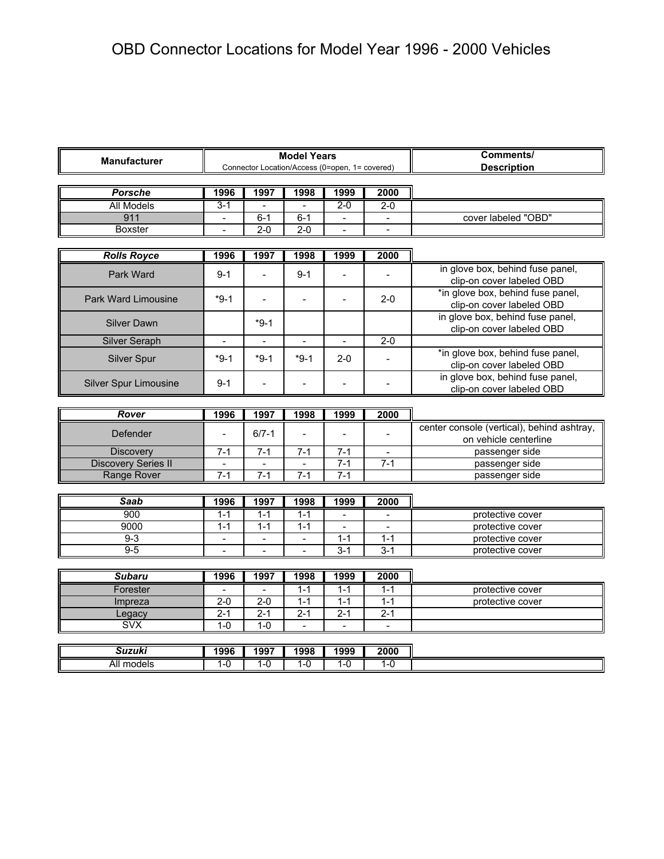|                                                                                             | Comments/                |                          |                          |                              |                |                                            |  |  |  |  |
|---------------------------------------------------------------------------------------------|--------------------------|--------------------------|--------------------------|------------------------------|----------------|--------------------------------------------|--|--|--|--|
| <b>Model Years</b><br><b>Manufacturer</b><br>Connector Location/Access (0=open, 1= covered) |                          |                          |                          |                              |                | <b>Description</b>                         |  |  |  |  |
|                                                                                             |                          |                          |                          |                              |                |                                            |  |  |  |  |
| <b>Porsche</b>                                                                              | 1996                     | 1997                     | 1998                     | 1999                         | 2000           |                                            |  |  |  |  |
| <b>All Models</b>                                                                           | $3 - 1$                  |                          |                          | $2-0$                        | $2 - 0$        |                                            |  |  |  |  |
| 911                                                                                         | $\sim$                   | $6 - 1$                  | $6 - 1$                  | $\blacksquare$               |                | cover labeled "OBD"                        |  |  |  |  |
| <b>Boxster</b>                                                                              |                          | $2 - 0$                  | $2 - 0$                  |                              |                |                                            |  |  |  |  |
|                                                                                             |                          |                          |                          |                              |                |                                            |  |  |  |  |
| <b>Rolls Royce</b>                                                                          | 1996                     | 1997                     | 1998                     | 1999                         | 2000           |                                            |  |  |  |  |
|                                                                                             |                          |                          |                          |                              |                | in glove box, behind fuse panel,           |  |  |  |  |
| Park Ward                                                                                   | $9 - 1$                  | $\overline{a}$           | $9 - 1$                  | $\overline{a}$               |                | clip-on cover labeled OBD                  |  |  |  |  |
| <b>Park Ward Limousine</b>                                                                  | $*9-1$                   | $\overline{a}$           | $\overline{\phantom{a}}$ | $\blacksquare$               | $2 - 0$        | *in glove box, behind fuse panel,          |  |  |  |  |
|                                                                                             |                          |                          |                          |                              |                | clip-on cover labeled OBD                  |  |  |  |  |
| <b>Silver Dawn</b>                                                                          |                          | $*9-1$                   |                          |                              |                | in glove box, behind fuse panel,           |  |  |  |  |
|                                                                                             |                          |                          |                          |                              |                | clip-on cover labeled OBD                  |  |  |  |  |
| <b>Silver Seraph</b>                                                                        | $\overline{\phantom{a}}$ | $\overline{\phantom{a}}$ | $\blacksquare$           | $\qquad \qquad \blacksquare$ | $2 - 0$        |                                            |  |  |  |  |
| Silver Spur                                                                                 | $*9-1$                   | $*9-1$                   | $*9-1$                   | $2 - 0$                      |                | *in glove box, behind fuse panel,          |  |  |  |  |
|                                                                                             |                          |                          |                          |                              |                | clip-on cover labeled OBD                  |  |  |  |  |
| <b>Silver Spur Limousine</b>                                                                | $9 - 1$                  | $\overline{\phantom{0}}$ | $\overline{a}$           | $\overline{a}$               |                | in glove box, behind fuse panel,           |  |  |  |  |
|                                                                                             |                          |                          |                          |                              |                | clip-on cover labeled OBD                  |  |  |  |  |
|                                                                                             |                          |                          |                          |                              |                |                                            |  |  |  |  |
| Rover                                                                                       | 1996                     | 1997                     | 1998                     | 1999                         | 2000           |                                            |  |  |  |  |
|                                                                                             |                          |                          |                          |                              |                |                                            |  |  |  |  |
| Defender                                                                                    | $\blacksquare$           | $6/7 - 1$                |                          | $\overline{a}$               |                | center console (vertical), behind ashtray, |  |  |  |  |
|                                                                                             |                          |                          |                          |                              |                | on vehicle centerline                      |  |  |  |  |
| <b>Discovery</b>                                                                            | $7 - 1$                  | $7 - 1$                  | $7 - 1$                  | $7 - 1$                      | $\overline{a}$ | passenger side                             |  |  |  |  |
| <b>Discovery Series II</b>                                                                  |                          |                          |                          | $7 - 1$                      | $7-1$          | passenger side                             |  |  |  |  |
| <b>Range Rover</b>                                                                          | $7 - 1$                  | $7-1$                    | $7 - 1$                  | $7-1$                        |                | passenger side                             |  |  |  |  |
|                                                                                             |                          |                          |                          |                              |                |                                            |  |  |  |  |
| <b>Saab</b>                                                                                 | 1996                     | 1997                     | 1998                     | 1999                         | 2000           |                                            |  |  |  |  |
| 900                                                                                         | $1 - 1$                  | $1 - 1$                  | $1 - 1$                  |                              |                | protective cover                           |  |  |  |  |
| 9000                                                                                        | $1 - 1$                  | $1 - 1$                  | $1 - 1$                  | $\overline{a}$               | $\overline{a}$ | protective cover                           |  |  |  |  |
| $9 - 3$                                                                                     | $\overline{\phantom{a}}$ | $\overline{\phantom{0}}$ | $\overline{\phantom{a}}$ | $1 - 1$                      | $1 - 1$        | protective cover                           |  |  |  |  |
| $9 - 5$                                                                                     | $\overline{a}$           | $\overline{a}$           | $\overline{a}$           | $3 - 1$                      | $3 - 1$        | protective cover                           |  |  |  |  |
|                                                                                             |                          |                          |                          |                              |                |                                            |  |  |  |  |
| <b>Subaru</b>                                                                               | 1996                     | 1997                     | 1998                     | 1999                         | 2000           |                                            |  |  |  |  |
| Forester                                                                                    | $\overline{\phantom{a}}$ | $\overline{\phantom{a}}$ | $1 - 1$                  | $1 - 1$                      | $1 - 1$        | protective cover                           |  |  |  |  |
| Impreza                                                                                     | $2 - 0$                  | $2 - 0$                  | $1 - 1$                  | $1 - 1$                      | $1 - 1$        | protective cover                           |  |  |  |  |
| Legacy                                                                                      | $2 - 1$                  | $2 - 1$                  | $2 - 1$                  | $2 - 1$                      | $2 - 1$        |                                            |  |  |  |  |
| $\overline{\text{S}VX}$                                                                     | $1 - 0$                  | $1 - 0$                  | $\overline{a}$           | $\overline{a}$               | $\overline{a}$ |                                            |  |  |  |  |
|                                                                                             |                          |                          |                          |                              |                |                                            |  |  |  |  |
| <b>Suzuki</b><br>All models                                                                 | 1996<br>$1 - 0$          | 1997<br>$1 - 0$          | 1998<br>$1 - 0$          | 1999<br>$1 - 0$              | 2000<br>$1-0$  |                                            |  |  |  |  |